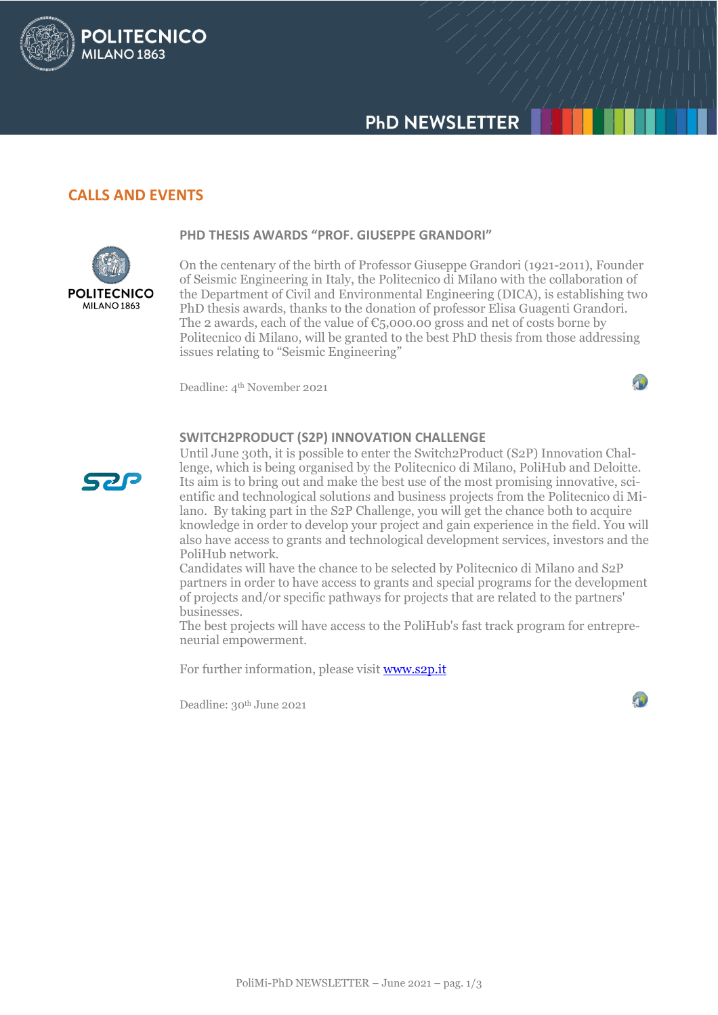# **PHD NEWSLETTER**

# **CALLS AND EVENTS**

**POLITECNICO** 

**MILANO 1863** 



**PHD THESIS AWARDS "PROF. GIUSEPPE GRANDORI"**

On the centenary of the birth of Professor Giuseppe Grandori (1921-2011), Founder of Seismic Engineering in Italy, the Politecnico di Milano with the collaboration of the Department of Civil and Environmental Engineering (DICA), is establishing two PhD thesis awards, thanks to the donation of professor Elisa Guagenti Grandori. The 2 awards, each of the value of  $\epsilon_{5,000.00}$  gross and net of costs borne by Politecnico di Milano, will be granted to the best PhD thesis from those addressing issues relating to "Seismic Engineering"

Deadline: 4<sup>th</sup> November 2021



#### **SWITCH2PRODUCT (S2P) INNOVATION CHALLENGE**



Until June 30th, it is possible to enter the Switch2Product (S2P) Innovation Challenge, which is being organised by the Politecnico di Milano, PoliHub and Deloitte. Its aim is to bring out and make the best use of the most promising innovative, scientific and technological solutions and business projects from the Politecnico di Milano. By taking part in the S2P Challenge, you will get the chance both to acquire knowledge in order to develop your project and gain experience in the field. You will also have access to grants and technological development services, investors and the PoliHub network.

Candidates will have the chance to be selected by Politecnico di Milano and S2P partners in order to have access to grants and special programs for the development of projects and/or specific pathways for projects that are related to the partners' businesses.

The best projects will have access to the PoliHub's fast track program for entrepreneurial empowerment.

For further information, please visi[t www.s2p.it](http://www.s2p.it/)

Deadline: 30<sup>th</sup> June 2021

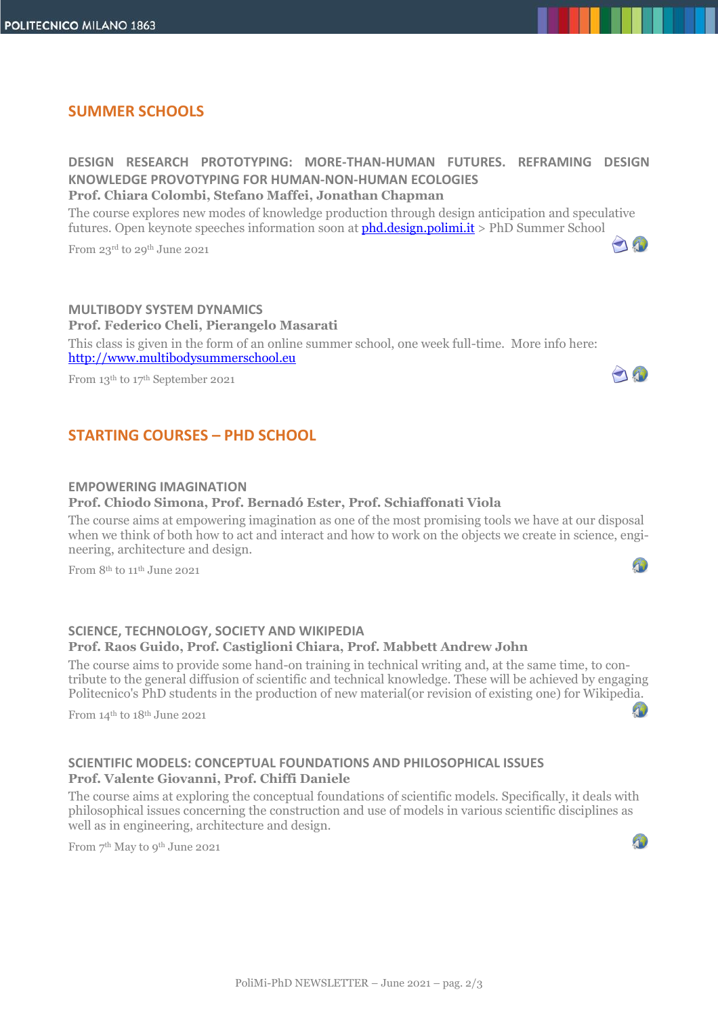### **SUMMER SCHOOLS**

**DESIGN RESEARCH PROTOTYPING: MORE-THAN-HUMAN FUTURES. REFRAMING DESIGN KNOWLEDGE PROVOTYPING FOR HUMAN-NON-HUMAN ECOLOGIES Prof. Chiara Colombi, Stefano Maffei, Jonathan Chapman**

The course explores new modes of knowledge production through design anticipation and speculative futures. Open keynote speeches information soon at **phd.design.polimi.it** > PhD Summer School

10

0

40

From 23rd to 29th June 2021

**MULTIBODY SYSTEM DYNAMICS Prof. Federico Cheli, Pierangelo Masarati**  This class is given in the form of an online summer school, one week full-time. More info here: [http://www.multibodysummerschool.eu](http://www.multibodysummerschool.eu/)

From 13th to 17th September 2021

# **STARTING COURSES – PHD SCHOOL**

#### **EMPOWERING IMAGINATION**

#### **Prof. Chiodo Simona, Prof. Bernadó Ester, Prof. Schiaffonati Viola**

The course aims at empowering imagination as one of the most promising tools we have at our disposal when we think of both how to act and interact and how to work on the objects we create in science, engineering, architecture and design.

From 8<sup>th</sup> to 11<sup>th</sup> June 2021

#### **SCIENCE, TECHNOLOGY, SOCIETY AND WIKIPEDIA Prof. Raos Guido, Prof. Castiglioni Chiara, Prof. Mabbett Andrew John**

The course aims to provide some hand-on training in technical writing and, at the same time, to contribute to the general diffusion of scientific and technical knowledge. These will be achieved by engaging Politecnico's PhD students in the production of new material(or revision of existing one) for Wikiped[ia.](https://aunicalogin.polimi.it/aunicalogin/getservizio.xml?id_servizio=178&c_classe=746236)

From 14th to 18th June 2021

#### **SCIENTIFIC MODELS: CONCEPTUAL FOUNDATIONS AND PHILOSOPHICAL ISSUES Prof. Valente Giovanni, Prof. Chiffi Daniele**

The course aims at exploring the conceptual foundations of scientific models. Specifically, it deals with philosophical issues concerning the construction and use of models in various scientific disciplines as well as in engineering, architecture and design.

From 7 th May to 9th June 2021